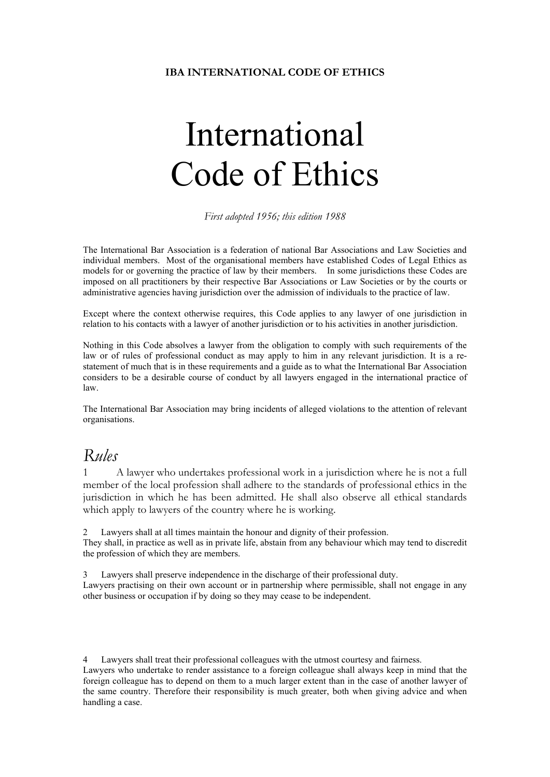## International Code of Ethics

*First adopted 1956; this edition 1988*

The International Bar Association is a federation of national Bar Associations and Law Societies and individual members. Most of the organisational members have established Codes of Legal Ethics as models for or governing the practice of law by their members. In some jurisdictions these Codes are imposed on all practitioners by their respective Bar Associations or Law Societies or by the courts or administrative agencies having jurisdiction over the admission of individuals to the practice of law.

Except where the context otherwise requires, this Code applies to any lawyer of one jurisdiction in relation to his contacts with a lawyer of another jurisdiction or to his activities in another jurisdiction.

Nothing in this Code absolves a lawyer from the obligation to comply with such requirements of the law or of rules of professional conduct as may apply to him in any relevant jurisdiction. It is a restatement of much that is in these requirements and a guide as to what the International Bar Association considers to be a desirable course of conduct by all lawyers engaged in the international practice of law.

The International Bar Association may bring incidents of alleged violations to the attention of relevant organisations.

## *Rules*

1 A lawyer who undertakes professional work in a jurisdiction where he is not a full member of the local profession shall adhere to the standards of professional ethics in the jurisdiction in which he has been admitted. He shall also observe all ethical standards which apply to lawyers of the country where he is working.

2 Lawyers shall at all times maintain the honour and dignity of their profession. They shall, in practice as well as in private life, abstain from any behaviour which may tend to discredit the profession of which they are members.

Lawyers shall preserve independence in the discharge of their professional duty. Lawyers practising on their own account or in partnership where permissible, shall not engage in any other business or occupation if by doing so they may cease to be independent.

4 Lawyers shall treat their professional colleagues with the utmost courtesy and fairness.

Lawyers who undertake to render assistance to a foreign colleague shall always keep in mind that the foreign colleague has to depend on them to a much larger extent than in the case of another lawyer of the same country. Therefore their responsibility is much greater, both when giving advice and when handling a case.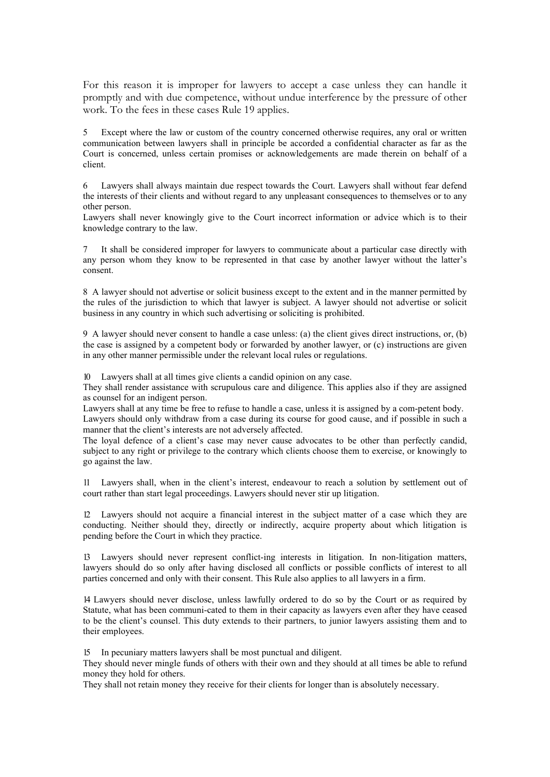For this reason it is improper for lawyers to accept a case unless they can handle it promptly and with due competence, without undue interference by the pressure of other work. To the fees in these cases Rule 19 applies.

5 Except where the law or custom of the country concerned otherwise requires, any oral or written communication between lawyers shall in principle be accorded a confidential character as far as the Court is concerned, unless certain promises or acknowledgements are made therein on behalf of a client.

6 Lawyers shall always maintain due respect towards the Court. Lawyers shall without fear defend the interests of their clients and without regard to any unpleasant consequences to themselves or to any other person.

Lawyers shall never knowingly give to the Court incorrect information or advice which is to their knowledge contrary to the law.

7 It shall be considered improper for lawyers to communicate about a particular case directly with any person whom they know to be represented in that case by another lawyer without the latter's consent.

8 A lawyer should not advertise or solicit business except to the extent and in the manner permitted by the rules of the jurisdiction to which that lawyer is subject. A lawyer should not advertise or solicit business in any country in which such advertising or soliciting is prohibited.

9 A lawyer should never consent to handle a case unless: (a) the client gives direct instructions, or, (b) the case is assigned by a competent body or forwarded by another lawyer, or (c) instructions are given in any other manner permissible under the relevant local rules or regulations.

10 Lawyers shall at all times give clients a candid opinion on any case.

They shall render assistance with scrupulous care and diligence. This applies also if they are assigned as counsel for an indigent person.

Lawyers shall at any time be free to refuse to handle a case, unless it is assigned by a com-petent body. Lawyers should only withdraw from a case during its course for good cause, and if possible in such a manner that the client's interests are not adversely affected.

The loyal defence of a client's case may never cause advocates to be other than perfectly candid, subject to any right or privilege to the contrary which clients choose them to exercise, or knowingly to go against the law.

11 Lawyers shall, when in the client's interest, endeavour to reach a solution by settlement out of court rather than start legal proceedings. Lawyers should never stir up litigation.

12 Lawyers should not acquire a financial interest in the subject matter of a case which they are conducting. Neither should they, directly or indirectly, acquire property about which litigation is pending before the Court in which they practice.

13 Lawyers should never represent conflict-ing interests in litigation. In non-litigation matters, lawyers should do so only after having disclosed all conflicts or possible conflicts of interest to all parties concerned and only with their consent. This Rule also applies to all lawyers in a firm.

14 Lawyers should never disclose, unless lawfully ordered to do so by the Court or as required by Statute, what has been communi-cated to them in their capacity as lawyers even after they have ceased to be the client's counsel. This duty extends to their partners, to junior lawyers assisting them and to their employees.

15 In pecuniary matters lawyers shall be most punctual and diligent.

They should never mingle funds of others with their own and they should at all times be able to refund money they hold for others.

They shall not retain money they receive for their clients for longer than is absolutely necessary.